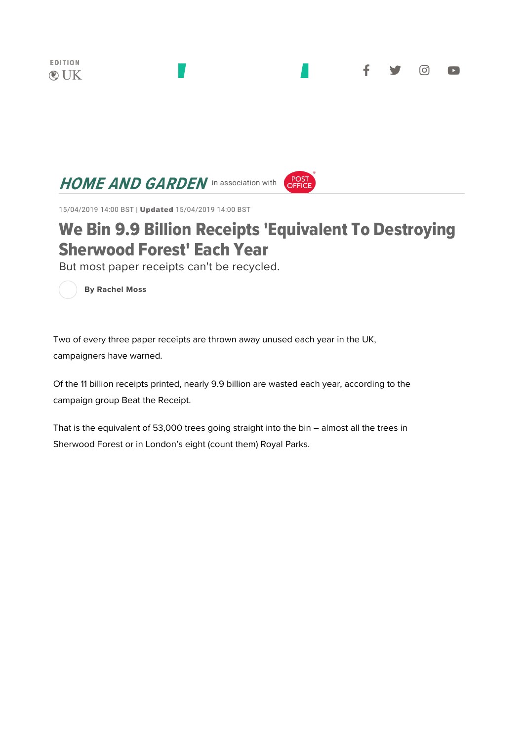## **HOME AND GARDEN** in association with



15/04/2019 14:00 BST | Updated 15/04/2019 14:00 BST

## We Bin 9.9 Billion Receipts 'Equivalent To Destroying Sherwood Forest' Each Year

But most paper receipts can't be recycled.

**By Rachel Moss** 

Two of every three paper receipts are thrown away unused each year in the UK, campaigners have warned.

Of the 11 billion receipts printed, nearly 9.9 billion are wasted each year, according to the campaign group Beat the Receipt.

That is the equivalent of 53,000 trees going straight into the bin – almost all the trees in Sherwood Forest or in London's eight (count them) Royal Parks.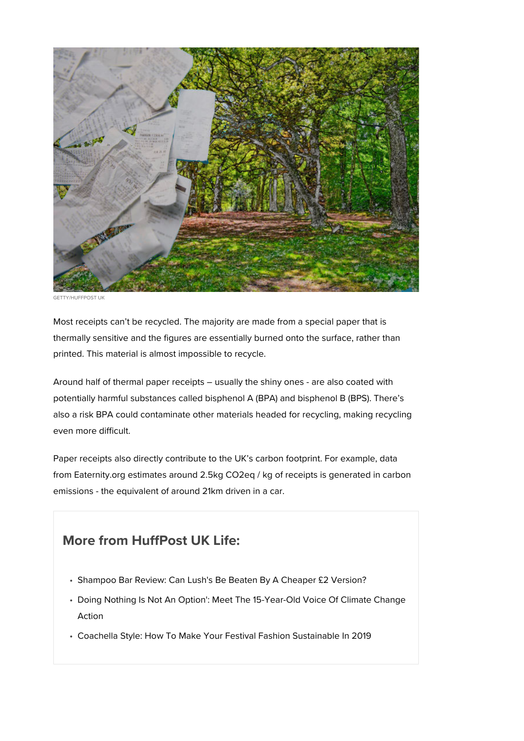

GETTY/HUFFPOST UK

Most receipts can't be recycled. The majority are made from a special paper that is thermally sensitive and the figures are essentially burned onto the surface, rather than printed. This material is almost impossible to recycle.

Around half of thermal paper receipts – usually the shiny ones - are also coated with potentially harmful substances called bisphenol A (BPA) and bisphenol B (BPS). There's also a risk BPA could contaminate other materials headed for recycling, making recycling even more difficult.

Paper receipts also directly contribute to the UK's carbon footprint. For example, data from Eaternity.org estimates around 2.5kg CO2eq / kg of receipts is generated in carbon emissions - the equivalent of around 21km driven in a car.

## **More from HuffPost UK Life:**

- Shampoo Bar Review: Can Lush's Be Beaten By A Cheaper £2 Version?
- Doing Nothing Is Not An Option': Meet The 15-Year-Old Voice Of Climate Change Action
- Coachella Style: How To Make Your Festival Fashion Sustainable In 2019